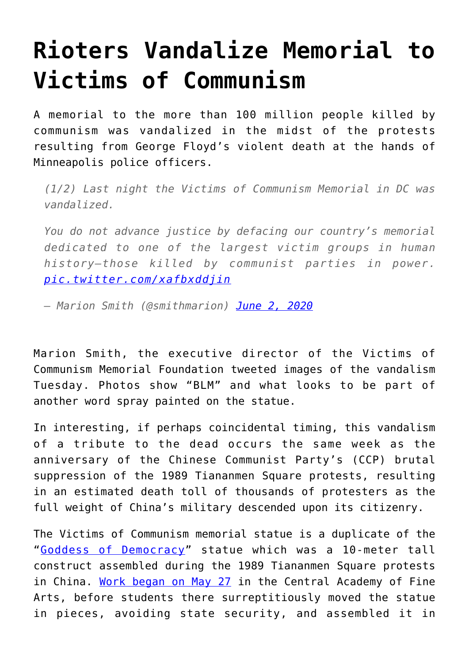## **[Rioters Vandalize Memorial to](https://intellectualtakeout.org/2020/06/rioters-vandalize-memorial-to-victims-of-communism/) [Victims of Communism](https://intellectualtakeout.org/2020/06/rioters-vandalize-memorial-to-victims-of-communism/)**

A memorial to the more than 100 million people killed by communism was vandalized in the midst of the protests resulting from George Floyd's violent death at the hands of Minneapolis police officers.

*(1/2) Last night the Victims of Communism Memorial in DC was vandalized.*

*You do not advance justice by defacing our country's memorial dedicated to one of the largest victim groups in human history—those killed by communist parties in power. [pic.twitter.com/xafbxddjin](https://t.co/xafbxddjin)*

*— Marion Smith (@smithmarion) [June 2, 2020](https://twitter.com/smithmarion/status/1267866869681324039?ref_src=twsrc%5Etfw)*

Marion Smith, the executive director of the Victims of Communism Memorial Foundation tweeted images of the vandalism Tuesday. Photos show "BLM" and what looks to be part of another word spray painted on the statue.

In interesting, if perhaps coincidental timing, this vandalism of a tribute to the dead occurs the same week as the anniversary of the Chinese Communist Party's (CCP) brutal suppression of the 1989 Tiananmen Square protests, resulting in an estimated death toll of thousands of protesters as the full weight of China's military descended upon its citizenry.

The Victims of Communism memorial statue is a duplicate of the "[Goddess of Democracy](https://www.cnn.com/style/article/tiananmen-square-goddess-of-democracy/index.html)" statue which was a 10-meter tall construct assembled during the 1989 Tiananmen Square protests in China. [Work began on May 27](https://books.google.com/books?id=V_7EDwAAQBAJ&pg=PA139&lpg=PA139&dq=Essay+%22The+Birth+of+the+Goddess+of+Democracy%22&source=bl&ots=VlVOtGcFCz&sig=ACfU3U1JSCnniOSdVS7Fv5OEDvbygFVSDg&hl=en&sa=X&ved=2ahUKEwjdpO-Ms-bpAhWyKH0KHSASARMQ6AEwAXoECAkQAQ#v=onepage&q=On%20May%2027%2C%20a%20representative&f=false) in the Central Academy of Fine Arts, before students there surreptitiously moved the statue in pieces, avoiding state security, and assembled it in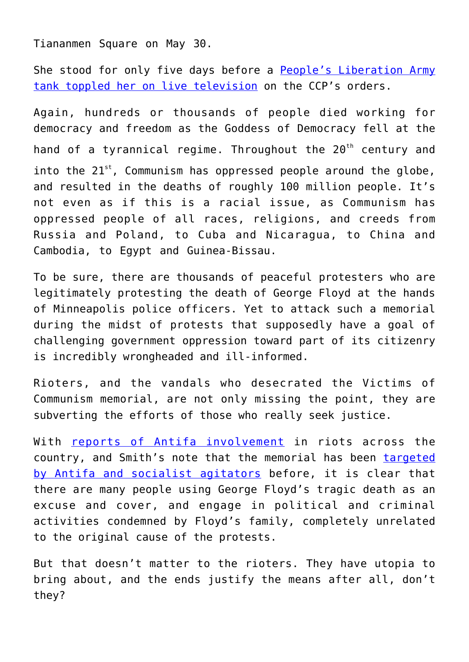Tiananmen Square on May 30.

She stood for only five days before a [People's Liberation Army](https://books.google.com/books?id=V_7EDwAAQBAJ&pg=PA139&lpg=PA139&dq=Essay+%22The+Birth+of+the+Goddess+of+Democracy%22&source=bl&ots=VlVOtGcFCz&sig=ACfU3U1JSCnniOSdVS7Fv5OEDvbygFVSDg&hl=en&sa=X&ved=2ahUKEwjdpO-Ms-bpAhWyKH0KHSASARMQ6AEwAXoECAkQAQ#v=snippet&q=the%20toppling%20of%20the%20goddess&f=false) [tank toppled her on live television](https://books.google.com/books?id=V_7EDwAAQBAJ&pg=PA139&lpg=PA139&dq=Essay+%22The+Birth+of+the+Goddess+of+Democracy%22&source=bl&ots=VlVOtGcFCz&sig=ACfU3U1JSCnniOSdVS7Fv5OEDvbygFVSDg&hl=en&sa=X&ved=2ahUKEwjdpO-Ms-bpAhWyKH0KHSASARMQ6AEwAXoECAkQAQ#v=snippet&q=the%20toppling%20of%20the%20goddess&f=false) on the CCP's orders.

Again, hundreds or thousands of people died working for democracy and freedom as the Goddess of Democracy fell at the hand of a tyrannical regime. Throughout the 20<sup>th</sup> century and into the  $21^{st}$ , Communism has oppressed people around the globe, and resulted in the deaths of roughly 100 million people. It's not even as if this is a racial issue, as Communism has oppressed people of all races, religions, and creeds from Russia and Poland, to Cuba and Nicaragua, to China and Cambodia, to Egypt and Guinea-Bissau.

To be sure, there are thousands of peaceful protesters who are legitimately protesting the death of George Floyd at the hands of Minneapolis police officers. Yet to attack such a memorial during the midst of protests that supposedly have a goal of challenging government oppression toward part of its citizenry is incredibly wrongheaded and ill-informed.

Rioters, and the vandals who desecrated the Victims of Communism memorial, are not only missing the point, they are subverting the efforts of those who really seek justice.

With [reports of Antifa involvement](https://www.foxnews.com/us/antifa-arrests-coming-riots-suburbs) in riots across the country, and Smith's note that the memorial has been [targeted](https://twitter.com/smithmarion/status/1267867112095260673) [by Antifa and socialist agitators](https://twitter.com/smithmarion/status/1267867112095260673) before, it is clear that there are many people using George Floyd's tragic death as an excuse and cover, and engage in political and criminal activities condemned by Floyd's family, completely unrelated to the original cause of the protests.

But that doesn't matter to the rioters. They have utopia to bring about, and the ends justify the means after all, don't they?